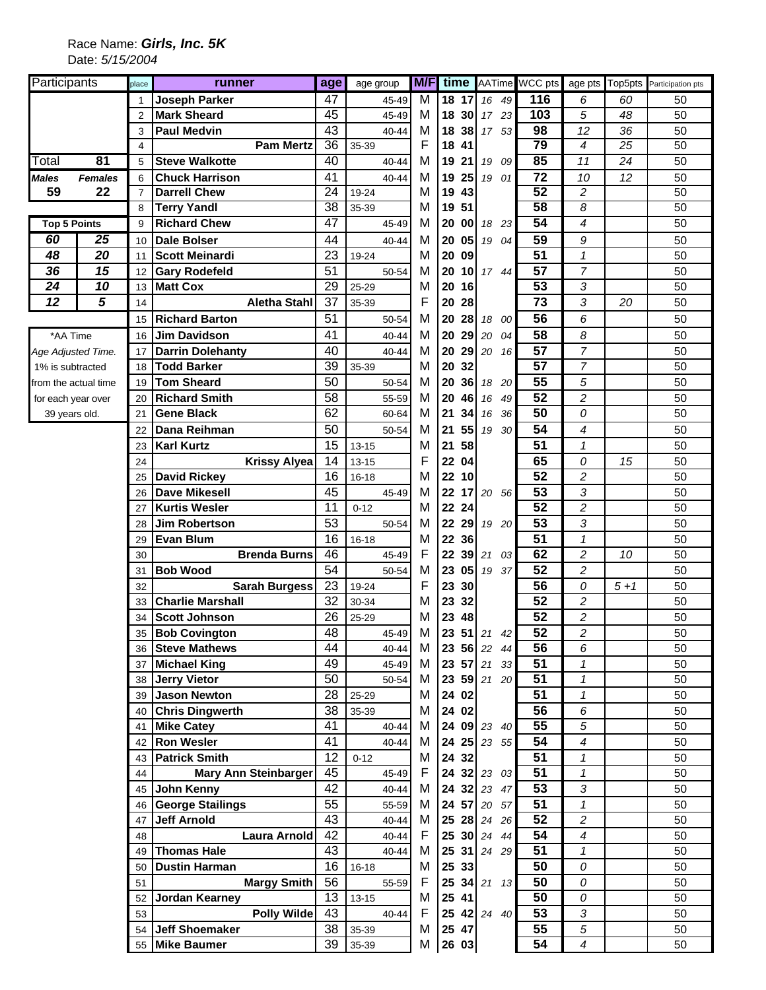## Race Name: *Girls, Inc. 5K* Date: *5/15/2004*

| Participants             |                            | place           | runner                                      | age             | age group         |       |                |             |                      | <b>M/F</b> time AATime WCC pts |                            |       | age pts Top5pts Participation pts |
|--------------------------|----------------------------|-----------------|---------------------------------------------|-----------------|-------------------|-------|----------------|-------------|----------------------|--------------------------------|----------------------------|-------|-----------------------------------|
|                          |                            | 1               | <b>Joseph Parker</b>                        | 47              | 45-49             | M     |                | 18 17       | $16 \quad 49$        | 116                            | 6                          | 60    | 50                                |
|                          |                            | $\overline{2}$  | <b>Mark Sheard</b>                          | 45              | 45-49             | м     |                | 18 30       | 17 23                | 103                            | 5                          | 48    | 50                                |
|                          |                            | 3               | <b>Paul Medvin</b>                          | 43              | 40-44             | M     |                | 18 38       | 17 53                | 98                             | 12                         | 36    | 50                                |
|                          |                            | $\overline{4}$  | <b>Pam Mertz</b>                            | 36              | 35-39             | F     | 18             | -41         |                      | 79                             | 4                          | 25    | 50                                |
| Total                    | 81                         | 5               | <b>Steve Walkotte</b>                       | 40              | 40-44             | М     | 19             | 21          | 19 09                | 85                             | 11                         | 24    | 50                                |
| <b>Males</b>             | <b>Females</b>             | 6               | <b>Chuck Harrison</b>                       | 41              | 40-44             | М     | 19 25          |             | 19 01                | 72                             | 10                         | 12    | 50                                |
| 59                       | 22                         | $\overline{7}$  | <b>Darrell Chew</b>                         | $\overline{24}$ | 19-24             | М     | 19             | 43          |                      | $\overline{52}$                | 2                          |       | 50                                |
|                          |                            | 8               | <b>Terry Yandl</b>                          | $\overline{38}$ | 35-39             | М     | 19 51          |             |                      | 58                             | 8                          |       | 50                                |
| <b>Top 5 Points</b>      |                            | 9               | <b>Richard Chew</b>                         | 47              | 45-49             | М     | 20 00          |             | 18 23                | 54                             | 4                          |       | 50                                |
| 60                       | 25                         | 10              | <b>Dale Bolser</b>                          | 44              | 40-44             | М     | 20             | 05          | 19 04                | 59                             | 9                          |       | 50                                |
| 48                       | 20                         | 11              | <b>Scott Meinardi</b>                       | 23              | 19-24             | M     | 20 09          |             |                      | $\overline{51}$                | $\boldsymbol{\mathcal{I}}$ |       | 50                                |
| 36                       | 15                         | 12              | <b>Gary Rodefeld</b>                        | 51              | 50-54             | м     |                | 20 10       | 17 44                | 57                             | 7                          |       | 50                                |
| 24                       | 10                         | 13              | <b>Matt Cox</b>                             | 29              | 25-29             | М     | 20 16          |             |                      | 53                             | 3                          |       | 50                                |
| $\overline{12}$          | 5                          | 14              | <b>Aletha Stahl</b>                         | 37              | 35-39             | F     | 20 28          |             |                      | $\overline{73}$                | 3                          | 20    | 50                                |
|                          |                            | 15              | <b>Richard Barton</b>                       | 51              | 50-54             | М     | 20             | 28          | 18<br>00             | 56                             | 6                          |       | 50                                |
| *AA Time                 |                            | 16              | <b>Jim Davidson</b>                         | 41              | 40-44             | М     | 20             | 29          | 04<br>20             | 58                             | 8                          |       | 50                                |
| Age Adjusted Time.       |                            | 17              | <b>Darrin Dolehanty</b>                     | 40              | $40 - 44$         | М     | 20             | 29          | 20 16                | 57                             | $\overline{7}$             |       | 50                                |
| 1% is subtracted         |                            | 18              | <b>Todd Barker</b>                          | 39              | 35-39             | М     | 20             | 32          |                      | 57                             | $\overline{7}$             |       | 50                                |
| from the actual time     |                            | 19              | <b>Tom Sheard</b>                           | 50              | 50-54             | М     | 20             | 36          | 18 20                | 55                             | 5                          |       | 50                                |
| for each year over       |                            | 20              | <b>Richard Smith</b>                        | 58              | 55-59             | М     | 20             | 46          | 16 49                | 52                             | $\overline{c}$             |       | 50                                |
| 39 years old.            |                            | 21              | <b>Gene Black</b>                           | 62              | 60-64             | М     | 21             | 34          | 16 36                | 50                             | 0                          |       | 50                                |
|                          |                            | 22              | Dana Reihman                                | 50              | 50-54             | М     | 21             | 55          | 19 30                | 54                             | 4                          |       | 50                                |
|                          |                            |                 | <b>Karl Kurtz</b>                           | 15              | $13 - 15$         | М     | 21             | 58          |                      | 51                             | 1                          |       | 50                                |
|                          |                            | 23              |                                             | 14              |                   | F     |                |             |                      | 65                             |                            |       |                                   |
|                          |                            | 24              | <b>Krissy Alyea</b>                         | 16              | 13-15             | M     | 22 04<br>22 10 |             |                      | 52                             | 0<br>$\overline{c}$        | 15    | 50<br>50                          |
|                          |                            | 25              | <b>David Rickey</b><br><b>Dave Mikesell</b> | 45              | 16-18             | М     | 22             |             |                      | $\overline{53}$                | 3                          |       | 50                                |
|                          |                            | 26              | <b>Kurtis Wesler</b>                        | 11              | 45-49<br>$0 - 12$ | М     | 22 24          |             | $17$ 20 56           | 52                             | $\overline{c}$             |       | 50                                |
|                          |                            | 27              | <b>Jim Robertson</b>                        | 53              | 50-54             | М     |                | 22 29       | 19 20                | 53                             | 3                          |       | 50                                |
|                          |                            | 28              | <b>Evan Blum</b>                            | 16              | $16 - 18$         | М     | 22 36          |             |                      | 51                             | 1                          |       | 50                                |
|                          |                            | 29<br>30        | <b>Brenda Burns</b>                         | 46              | 45-49             | F     |                | 22 39       | 21 03                | 62                             | 2                          | 10    | 50                                |
|                          |                            |                 | <b>Bob Wood</b>                             | 54              | 50-54             | M     |                | 23 05       | 19 37                | 52                             | $\overline{c}$             |       | 50                                |
|                          |                            | 31<br>32        | <b>Sarah Burgess</b>                        | 23              | 19-24             | F     | 23 30          |             |                      | 56                             | 0                          | $5+1$ | 50                                |
|                          |                            | 33              | <b>Charlie Marshall</b>                     | 32              | 30-34             | М     | 23 32          |             |                      | 52                             | 2                          |       | 50                                |
|                          |                            | 34              | <b>Scott Johnson</b>                        | 26              | 25-29             | М     | 23 48          |             |                      | 52                             | 2                          |       | 50                                |
|                          |                            |                 | 35 Bob Covington                            | 48              | 45-49             | М     |                |             | $23 \t51 \t21$<br>42 | 52                             | $\overline{c}$             |       | 50                                |
|                          |                            | 36              | <b>Steve Mathews</b>                        | 44              | 40-44             | М     |                |             | 23 56 22 44          | 56                             | 6                          |       | 50                                |
|                          |                            | 37              | <b>Michael King</b>                         | 49              | 45-49             | M     |                |             | 23 57 21 33          | 51                             | 1                          |       | 50                                |
|                          |                            | 38              | <b>Jerry Vietor</b>                         | 50              | 50-54             | М     |                |             | 23 59 21 20          | 51                             | 1                          |       | 50                                |
|                          |                            | 39 <sup>°</sup> | <b>Jason Newton</b>                         | 28              | 25-29             | M     |                | 24 02       |                      | 51                             | 1                          |       | 50                                |
|                          |                            |                 | 40 Chris Dingwerth                          | 38              | 35-39             | М     |                | 24 02       |                      | 56                             | 6                          |       | 50                                |
|                          |                            | 41              | <b>Mike Catey</b>                           | 41              | $40 - 44$         | М     |                |             | 24 09 23 40          | 55                             | 5                          |       | 50                                |
|                          |                            | 42              | <b>Ron Wesler</b>                           | 41              | 40-44             | M     |                |             | 24 25 23 55          | 54                             | 4                          |       | 50                                |
|                          |                            | 43              | <b>Patrick Smith</b>                        | 12              | $0 - 12$          | М     |                | 24 32       |                      | 51                             | 1                          |       | 50                                |
|                          |                            | 44              | <b>Mary Ann Steinbarger</b>                 | 45              | 45-49             | F     |                |             | 24 32 23 03          | 51                             | 1                          |       | 50                                |
|                          |                            |                 | 45 John Kenny                               | 42              | 40-44             | М     |                |             | 24 32 23 47          | 53                             | 3                          |       | 50                                |
|                          |                            | 46              | <b>George Stailings</b>                     | 55              | 55-59             | м     |                |             | 24 57 20 57          | 51                             | 1                          |       | 50                                |
|                          |                            | 47              | <b>Jeff Arnold</b>                          | 43              | 40-44             | м     |                |             | 25 28 24 26          | 52                             | $\overline{c}$             |       | 50                                |
|                          | <b>Laura Arnold</b><br>48  |                 | 42                                          | 40-44           | F                 |       |                | 25 30 24 44 | 54                   | 4                              |                            | 50    |                                   |
|                          | <b>Thomas Hale</b><br>49   |                 | 43                                          | 40-44           | М                 |       |                | 25 31 24 29 | 51                   | 1                              |                            | 50    |                                   |
|                          | <b>Dustin Harman</b><br>50 |                 | 16                                          | 16-18           | М                 | 25 33 |                |             | 50                   | 0                              |                            | 50    |                                   |
| <b>Margy Smith</b><br>51 |                            | 56              | 55-59                                       | F               |                   |       | 25 34 21 13    | 50          | 0                    |                                | 50                         |       |                                   |
|                          |                            | 52              | Jordan Kearney                              | 13              | $13 - 15$         | м     | 25 41          |             |                      | 50                             | 0                          |       | 50                                |
|                          |                            | 53              | <b>Polly Wilde</b>                          | 43              | 40-44             | F     |                |             | 25 42 24 40          | 53                             | $\sqrt{3}$                 |       | 50                                |
|                          |                            | 54              | <b>Jeff Shoemaker</b>                       | 38              | 35-39             | M     |                | 25 47       |                      | 55                             | 5                          |       | 50                                |
|                          |                            |                 | 55 Mike Baumer                              | 39              | 35-39             | М     |                | 26 03       |                      | 54                             | $\overline{\mathcal{A}}$   |       | 50                                |
|                          |                            |                 |                                             |                 |                   |       |                |             |                      |                                |                            |       |                                   |